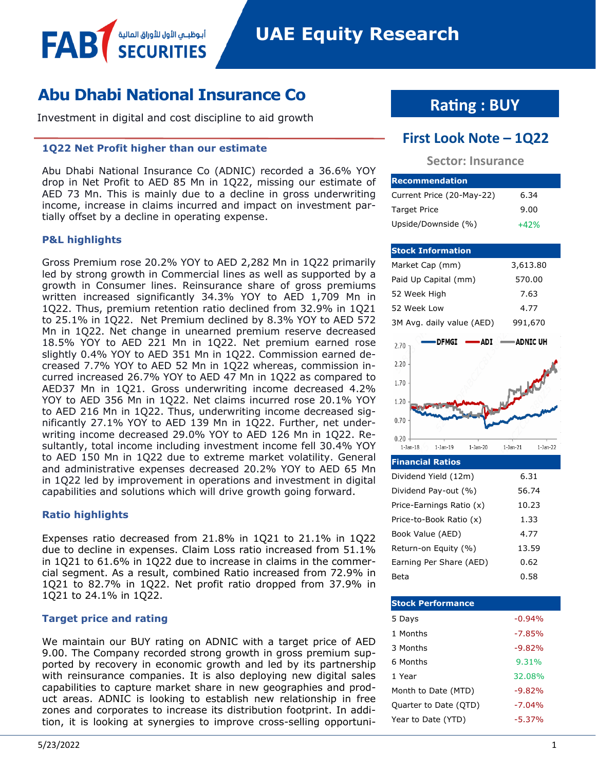## **Abu Dhabi National Insurance Co**

أبوظبـي الأول للأوراق المالية

Investment in digital and cost discipline to aid growth

#### **1Q22 Net Profit higher than our estimate**

Abu Dhabi National Insurance Co (ADNIC) recorded a 36.6% YOY drop in Net Profit to AED 85 Mn in 1Q22, missing our estimate of AED 73 Mn. This is mainly due to a decline in gross underwriting income, increase in claims incurred and impact on investment partially offset by a decline in operating expense.

#### **P&L highlights**

FAB

Gross Premium rose 20.2% YOY to AED 2,282 Mn in 1Q22 primarily led by strong growth in Commercial lines as well as supported by a growth in Consumer lines. Reinsurance share of gross premiums written increased significantly 34.3% YOY to AED 1,709 Mn in 1Q22. Thus, premium retention ratio declined from 32.9% in 1Q21 to 25.1% in 1Q22. Net Premium declined by 8.3% YOY to AED 572 Mn in 1Q22. Net change in unearned premium reserve decreased 18.5% YOY to AED 221 Mn in 1Q22. Net premium earned rose slightly 0.4% YOY to AED 351 Mn in 1Q22. Commission earned decreased 7.7% YOY to AED 52 Mn in 1Q22 whereas, commission incurred increased 26.7% YOY to AED 47 Mn in 1Q22 as compared to AED37 Mn in 1Q21. Gross underwriting income decreased 4.2% YOY to AED 356 Mn in 1Q22. Net claims incurred rose 20.1% YOY to AED 216 Mn in 1Q22. Thus, underwriting income decreased significantly 27.1% YOY to AED 139 Mn in 1Q22. Further, net underwriting income decreased 29.0% YOY to AED 126 Mn in 1Q22. Resultantly, total income including investment income fell 30.4% YOY to AED 150 Mn in 1Q22 due to extreme market volatility. General and administrative expenses decreased 20.2% YOY to AED 65 Mn in 1Q22 led by improvement in operations and investment in digital capabilities and solutions which will drive growth going forward.

#### **Ratio highlights**

Expenses ratio decreased from 21.8% in 1Q21 to 21.1% in 1Q22 due to decline in expenses. Claim Loss ratio increased from 51.1% in 1Q21 to 61.6% in 1Q22 due to increase in claims in the commercial segment. As a result, combined Ratio increased from 72.9% in 1Q21 to 82.7% in 1Q22. Net profit ratio dropped from 37.9% in 1Q21 to 24.1% in 1Q22.

#### **Target price and rating**

We maintain our BUY rating on ADNIC with a target price of AED 9.00. The Company recorded strong growth in gross premium supported by recovery in economic growth and led by its partnership with reinsurance companies. It is also deploying new digital sales capabilities to capture market share in new geographies and product areas. ADNIC is looking to establish new relationship in free zones and corporates to increase its distribution footprint. In addition, it is looking at synergies to improve cross-selling opportuni-

## **Rating : BUY**

### **First Look Note – 1Q22**

#### **Sector: Insurance**

| <b>Recommendation</b>     |        |
|---------------------------|--------|
| Current Price (20-May-22) | 6.34   |
| <b>Target Price</b>       | 9.00   |
| Upside/Downside (%)       | $+42%$ |

| <b>Stock Information</b>  |            |                |             |
|---------------------------|------------|----------------|-------------|
| Market Cap (mm)           |            | 3,613.80       |             |
| Paid Up Capital (mm)      |            | 570.00         |             |
| 52 Week High              |            | 7.63           |             |
| 52 Week Low               |            | 4.77           |             |
| 3M Avg. daily value (AED) |            | 991,670        |             |
| <b>DFMGI</b><br>2.70      | <b>ADI</b> |                | ∙ADNIC UH   |
| 2.20                      |            |                |             |
| 1.70                      |            |                |             |
| 1.20                      |            |                |             |
| 0.70                      |            |                |             |
| 0.20                      |            |                |             |
| $1-Jan-18$<br>$1-Jan-19$  | $1-Jan-20$ | $1-$ Jan $-21$ | $1$ -Jan-22 |
| <b>Financial Ratios</b>   |            |                |             |

| Dividend Yield (12m)     | 6.31  |
|--------------------------|-------|
| Dividend Pay-out (%)     | 56.74 |
| Price-Earnings Ratio (x) | 10.23 |
| Price-to-Book Ratio (x)  | 1.33  |
| Book Value (AED)         | 4.77  |
| Return-on Equity (%)     | 13.59 |
| Earning Per Share (AED)  | 0.62  |
| Beta                     | 0.58  |

| <b>Stock Performance</b> |          |
|--------------------------|----------|
| 5 Days                   | $-0.94%$ |
| 1 Months                 | $-7.85%$ |
| 3 Months                 | $-9.82%$ |
| 6 Months                 | 9.31%    |
| 1 Year                   | 32.08%   |
| Month to Date (MTD)      | $-9.82%$ |
| Quarter to Date (QTD)    | $-7.04%$ |
| Year to Date (YTD)       | $-5.37%$ |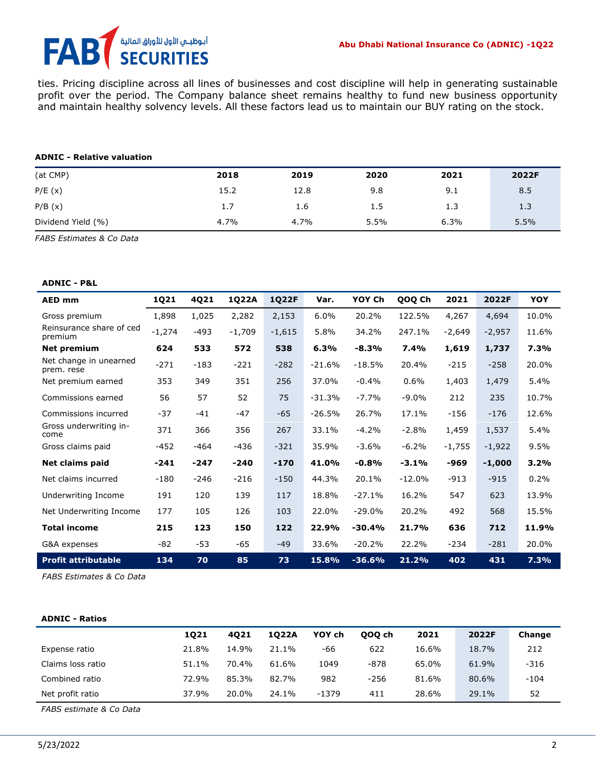# أبوظبـي الأول للأوراق المالية<br>SECURITIES FA

ties. Pricing discipline across all lines of businesses and cost discipline will help in generating sustainable profit over the period. The Company balance sheet remains healthy to fund new business opportunity and maintain healthy solvency levels. All these factors lead us to maintain our BUY rating on the stock.

#### **ADNIC - Relative valuation**

| (at CMP)           | 2018 | 2019 | 2020 | 2021 | 2022F |
|--------------------|------|------|------|------|-------|
| P/E(x)             | 15.2 | 12.8 | 9.8  | 9.1  | 8.5   |
| P/B(x)             | 1.7  | 1.6  | 1.5  | 1.3  | 1.3   |
| Dividend Yield (%) | 4.7% | 4.7% | 5.5% | 6.3% | 5.5%  |

*FABS Estimates & Co Data*

#### **ADNIC - P&L**

| <b>AED mm</b>                        | 1Q21     | 4Q21   | 1Q22A    | 1Q22F    | Var.     | YOY Ch   | QOQ Ch   | 2021     | 2022F    | <b>YOY</b> |
|--------------------------------------|----------|--------|----------|----------|----------|----------|----------|----------|----------|------------|
| Gross premium                        | 1,898    | 1,025  | 2,282    | 2,153    | 6.0%     | 20.2%    | 122.5%   | 4,267    | 4,694    | 10.0%      |
| Reinsurance share of ced<br>premium  | $-1,274$ | $-493$ | $-1,709$ | $-1,615$ | 5.8%     | 34.2%    | 247.1%   | $-2,649$ | $-2,957$ | 11.6%      |
| Net premium                          | 624      | 533    | 572      | 538      | 6.3%     | $-8.3%$  | 7.4%     | 1,619    | 1,737    | 7.3%       |
| Net change in unearned<br>prem. rese | $-271$   | $-183$ | $-221$   | $-282$   | $-21.6%$ | $-18.5%$ | 20.4%    | $-215$   | $-258$   | 20.0%      |
| Net premium earned                   | 353      | 349    | 351      | 256      | 37.0%    | $-0.4%$  | 0.6%     | 1,403    | 1,479    | 5.4%       |
| Commissions earned                   | 56       | 57     | 52       | 75       | $-31.3%$ | $-7.7%$  | $-9.0\%$ | 212      | 235      | 10.7%      |
| Commissions incurred                 | $-37$    | $-41$  | $-47$    | $-65$    | $-26.5%$ | 26.7%    | 17.1%    | $-156$   | $-176$   | 12.6%      |
| Gross underwriting in-<br>come       | 371      | 366    | 356      | 267      | 33.1%    | $-4.2%$  | $-2.8%$  | 1,459    | 1,537    | 5.4%       |
| Gross claims paid                    | $-452$   | $-464$ | $-436$   | $-321$   | 35.9%    | $-3.6%$  | $-6.2%$  | $-1,755$ | $-1,922$ | 9.5%       |
| <b>Net claims paid</b>               | $-241$   | $-247$ | $-240$   | $-170$   | 41.0%    | $-0.8%$  | $-3.1%$  | -969     | $-1,000$ | 3.2%       |
| Net claims incurred                  | $-180$   | $-246$ | $-216$   | $-150$   | 44.3%    | 20.1%    | $-12.0%$ | $-913$   | $-915$   | 0.2%       |
| Underwriting Income                  | 191      | 120    | 139      | 117      | 18.8%    | $-27.1%$ | 16.2%    | 547      | 623      | 13.9%      |
| Net Underwriting Income              | 177      | 105    | 126      | 103      | 22.0%    | $-29.0%$ | 20.2%    | 492      | 568      | 15.5%      |
| <b>Total income</b>                  | 215      | 123    | 150      | 122      | 22.9%    | $-30.4%$ | 21.7%    | 636      | 712      | 11.9%      |
| G&A expenses                         | $-82$    | -53    | -65      | $-49$    | 33.6%    | $-20.2%$ | 22.2%    | $-234$   | $-281$   | 20.0%      |
| <b>Profit attributable</b>           | 134      | 70     | 85       | 73       | 15.8%    | $-36.6%$ | 21.2%    | 402      | 431      | 7.3%       |

*FABS Estimates & Co Data* 

#### **ADNIC - Ratios**

|                   | 1021  | 4021  | 1022A | YOY ch  | 000 ch | 2021  | 2022F | Change |
|-------------------|-------|-------|-------|---------|--------|-------|-------|--------|
| Expense ratio     | 21.8% | 14.9% | 21.1% | -66     | 622    | 16.6% | 18.7% | 212    |
| Claims loss ratio | 51.1% | 70.4% | 61.6% | 1049    | -878   | 65.0% | 61.9% | $-316$ |
| Combined ratio    | 72.9% | 85.3% | 82.7% | 982     | $-256$ | 81.6% | 80.6% | $-104$ |
| Net profit ratio  | 37.9% | 20.0% | 24.1% | $-1379$ | 411    | 28.6% | 29.1% | 52     |

*FABS estimate & Co Data*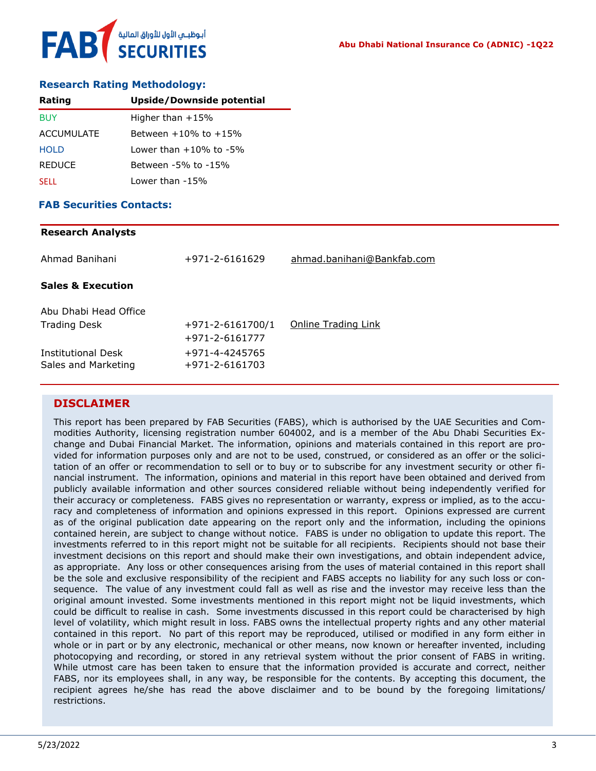

#### **Research Rating Methodology:**

| Rating        | Upside/Downside potential    |
|---------------|------------------------------|
| <b>BUY</b>    | Higher than $+15%$           |
| ACCUMULATE    | Between $+10\%$ to $+15\%$   |
| <b>HOLD</b>   | Lower than $+10\%$ to $-5\%$ |
| <b>REDUCE</b> | Between -5% to -15%          |
| <b>SELL</b>   | Lower than -15%              |

#### **FAB Securities Contacts:**

# **Research Analysts** Ahmad Banihani +971-2-6161629 [ahmad.banihani@Bankfab.com](mailto:ahmad.banihani@Bankfab.com)

Abu Dhabi Head Office Trading Desk  $+971-2-6161700/1$  [Online Trading Link](http://www.nbad.com/countries/en-ae/Brokerage/WhatWeOffer/Pages/OnlineTrading.aspx) +971-2-6161777 Institutional Desk +971-4-4245765 Sales and Marketing +971-2-6161703

#### **DISCLAIMER**

**Sales & Execution**

This report has been prepared by FAB Securities (FABS), which is authorised by the UAE Securities and Commodities Authority, licensing registration number 604002, and is a member of the Abu Dhabi Securities Exchange and Dubai Financial Market. The information, opinions and materials contained in this report are provided for information purposes only and are not to be used, construed, or considered as an offer or the solicitation of an offer or recommendation to sell or to buy or to subscribe for any investment security or other financial instrument. The information, opinions and material in this report have been obtained and derived from publicly available information and other sources considered reliable without being independently verified for their accuracy or completeness. FABS gives no representation or warranty, express or implied, as to the accuracy and completeness of information and opinions expressed in this report. Opinions expressed are current as of the original publication date appearing on the report only and the information, including the opinions contained herein, are subject to change without notice. FABS is under no obligation to update this report. The investments referred to in this report might not be suitable for all recipients. Recipients should not base their investment decisions on this report and should make their own investigations, and obtain independent advice, as appropriate. Any loss or other consequences arising from the uses of material contained in this report shall be the sole and exclusive responsibility of the recipient and FABS accepts no liability for any such loss or consequence. The value of any investment could fall as well as rise and the investor may receive less than the original amount invested. Some investments mentioned in this report might not be liquid investments, which could be difficult to realise in cash. Some investments discussed in this report could be characterised by high level of volatility, which might result in loss. FABS owns the intellectual property rights and any other material contained in this report. No part of this report may be reproduced, utilised or modified in any form either in whole or in part or by any electronic, mechanical or other means, now known or hereafter invented, including photocopying and recording, or stored in any retrieval system without the prior consent of FABS in writing. While utmost care has been taken to ensure that the information provided is accurate and correct, neither FABS, nor its employees shall, in any way, be responsible for the contents. By accepting this document, the recipient agrees he/she has read the above disclaimer and to be bound by the foregoing limitations/ restrictions.